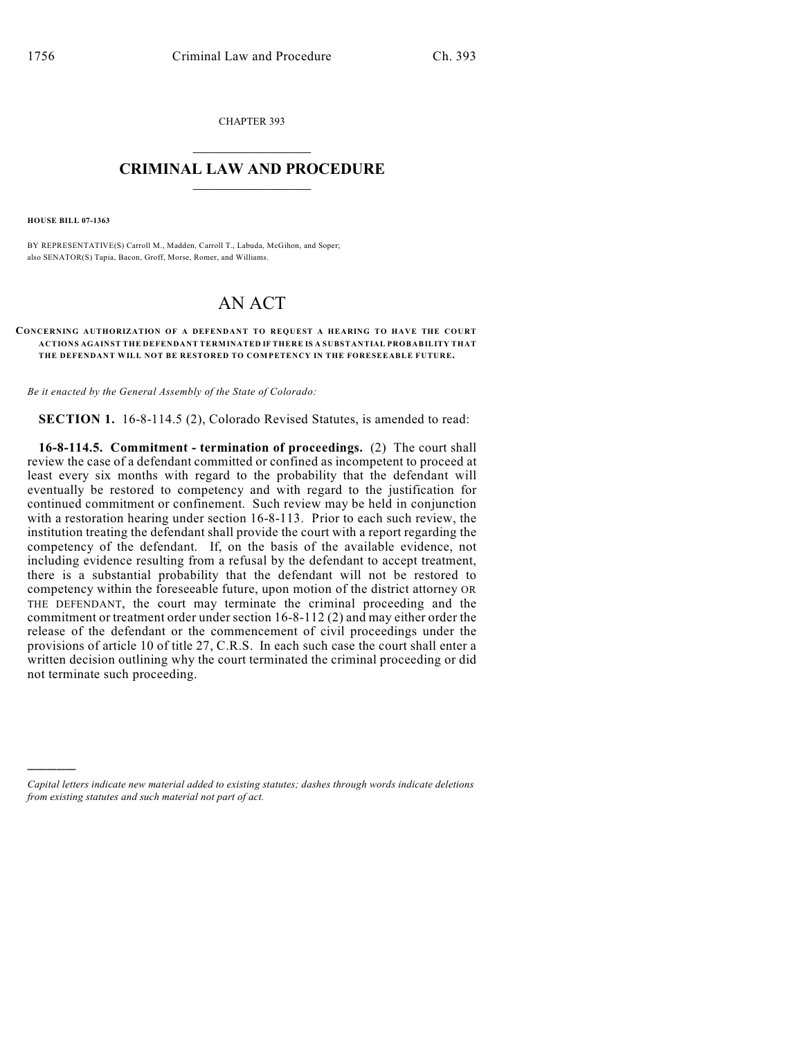CHAPTER 393  $\mathcal{L}_\text{max}$  . The set of the set of the set of the set of the set of the set of the set of the set of the set of the set of the set of the set of the set of the set of the set of the set of the set of the set of the set

## **CRIMINAL LAW AND PROCEDURE**  $\frac{1}{2}$  ,  $\frac{1}{2}$  ,  $\frac{1}{2}$  ,  $\frac{1}{2}$  ,  $\frac{1}{2}$  ,  $\frac{1}{2}$  ,  $\frac{1}{2}$

**HOUSE BILL 07-1363**

)))))

BY REPRESENTATIVE(S) Carroll M., Madden, Carroll T., Labuda, McGihon, and Soper; also SENATOR(S) Tapia, Bacon, Groff, Morse, Romer, and Williams.

## AN ACT

## **CONCERNING AUTHORIZATION OF A DEFENDANT TO REQUEST A HEARING TO HAVE THE COURT ACTIONS AGAINST THE DEFENDANT TERMINATED IF THERE IS A SUBSTANTIAL PROBABILITY THAT** THE DEFENDANT WILL NOT BE RESTORED TO COMPETENCY IN THE FORESEEABLE FUTURE.

*Be it enacted by the General Assembly of the State of Colorado:*

**SECTION 1.** 16-8-114.5 (2), Colorado Revised Statutes, is amended to read:

**16-8-114.5. Commitment - termination of proceedings.** (2) The court shall review the case of a defendant committed or confined as incompetent to proceed at least every six months with regard to the probability that the defendant will eventually be restored to competency and with regard to the justification for continued commitment or confinement. Such review may be held in conjunction with a restoration hearing under section 16-8-113. Prior to each such review, the institution treating the defendant shall provide the court with a report regarding the competency of the defendant. If, on the basis of the available evidence, not including evidence resulting from a refusal by the defendant to accept treatment, there is a substantial probability that the defendant will not be restored to competency within the foreseeable future, upon motion of the district attorney OR THE DEFENDANT, the court may terminate the criminal proceeding and the commitment or treatment order under section 16-8-112 (2) and may either order the release of the defendant or the commencement of civil proceedings under the provisions of article 10 of title 27, C.R.S. In each such case the court shall enter a written decision outlining why the court terminated the criminal proceeding or did not terminate such proceeding.

*Capital letters indicate new material added to existing statutes; dashes through words indicate deletions from existing statutes and such material not part of act.*